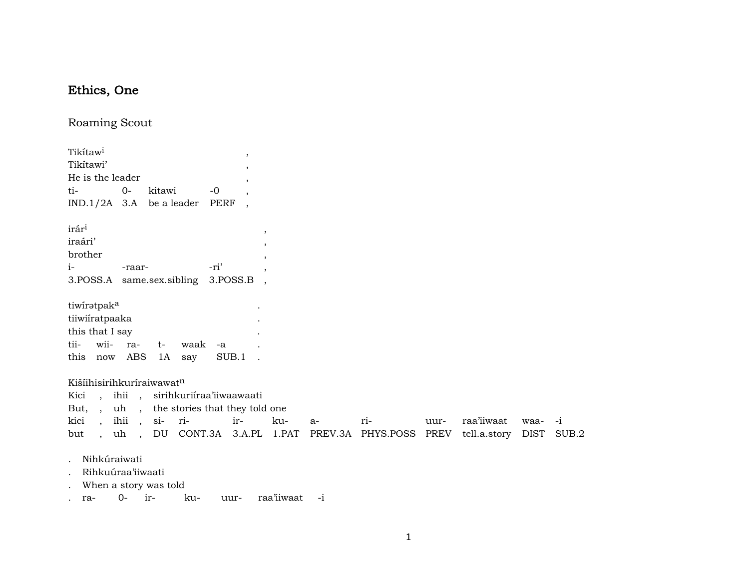## Ethics, One

Roaming Scout

| Tikítaw <sup>i</sup><br>Tikítawi'<br>He is the leader<br>ti-                     |                      | $0-$                              | kitawi     |             | $-0$ | $\,$<br>$\cdot$<br>,<br>$\overline{\phantom{a}}$                  |     |      |                                                 |      |              |        |      |
|----------------------------------------------------------------------------------|----------------------|-----------------------------------|------------|-------------|------|-------------------------------------------------------------------|-----|------|-------------------------------------------------|------|--------------|--------|------|
| $IND.1/2A$ 3.A be a leader                                                       |                      |                                   |            |             | PERF |                                                                   |     |      |                                                 |      |              |        |      |
| irár <sup>i</sup><br>iraári'<br>brother<br>$i-$<br>3. POSS.A same.sex.sibling    |                      | -raar-                            |            |             | -ri' | $\overline{ }$<br>$\overline{\phantom{a}}$<br>$\cdot$<br>3.POSS.B |     |      |                                                 |      |              |        |      |
| tiwiratpak <sup>a</sup><br>tiiwiiratpaaka<br>this that I say<br>tii-<br>this now | wii-                 | ra-<br>ABS                        | $t-$<br>1A | waak<br>say | -a   | SUB.1                                                             |     |      |                                                 |      |              |        |      |
| Kišíihisirihkuríraiwawatn                                                        |                      |                                   |            |             |      |                                                                   |     |      |                                                 |      |              |        |      |
| Kici                                                                             |                      |                                   |            |             |      | , ihii , sirihkuriíraa'iiwaawaati                                 |     |      |                                                 |      |              |        |      |
| But,,                                                                            |                      |                                   |            |             |      | uh, the stories that they told one                                |     |      |                                                 |      |              |        |      |
| kici                                                                             | $\ddot{\phantom{0}}$ | ihii                              | , si-      | ri-         |      | ir-                                                               | ku- | $a-$ | ri-                                             | uur- | raa'iiwaat   | waa-   | $-i$ |
| but                                                                              |                      |                                   |            |             |      |                                                                   |     |      | , uh, DU CONT.3A 3.A.PL 1.PAT PREV.3A PHYS.POSS | PREV | tell.a.story | DIST S |      |
|                                                                                  |                      | Nihkúraiwati<br>Rihkuúraa'iiwaati |            |             |      |                                                                   |     |      |                                                 |      |              |        |      |

- . When a story was told
- . ra- 0- ir- ku- uur- raa'iiwaat -i

DIST SUB.2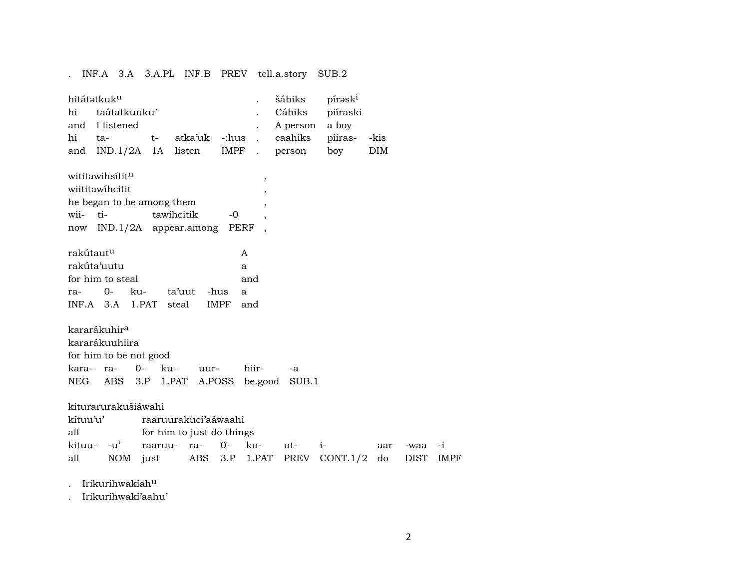. INF.A 3.A 3.A.PL INF.B PREV tell.a.story SUB.2

| hi                    | hitátətkuk <sup>u</sup><br>taátatkuuku'<br>and I listened |             |                           |             |                           | šáhiks<br>Cáhiks<br>A person | pírask <sup>i</sup><br>piíraski<br>a boy |            |      |      |
|-----------------------|-----------------------------------------------------------|-------------|---------------------------|-------------|---------------------------|------------------------------|------------------------------------------|------------|------|------|
| hi                    | ta-                                                       | $t-$        | atka'uk -:hus             |             | $\ddot{\phantom{a}}$      | caahiks                      | piiras-                                  | -kis       |      |      |
|                       | and $IND.1/2A$ 1A                                         |             | listen                    | IMPF        | $\mathbb{Z}^{\mathbb{Z}}$ | person                       | boy                                      | <b>DIM</b> |      |      |
|                       | wititawihsititn                                           |             |                           |             | $^\mathrm{,}$             |                              |                                          |            |      |      |
|                       | wiititawihcitit                                           |             |                           |             | $\overline{\phantom{a}}$  |                              |                                          |            |      |      |
|                       | he began to be among them                                 |             |                           |             | ,                         |                              |                                          |            |      |      |
| wii-                  | ti-                                                       |             | tawihcitik                | -0          | $\overline{\phantom{a}}$  |                              |                                          |            |      |      |
|                       |                                                           |             | now IND.1/2A appear.among |             | PERF                      |                              |                                          |            |      |      |
| rakútaut <sup>u</sup> |                                                           |             |                           |             | A                         |                              |                                          |            |      |      |
|                       | rakúta'uutu                                               |             |                           |             | a                         |                              |                                          |            |      |      |
|                       | for him to steal                                          |             |                           |             | and                       |                              |                                          |            |      |      |
| ra-                   | $0 -$                                                     | ku-         | ta'uut                    | -hus        | a                         |                              |                                          |            |      |      |
|                       | INF.A 3.A 1.PAT steal                                     |             |                           | <b>IMPF</b> | and                       |                              |                                          |            |      |      |
|                       | kararákuhir <sup>a</sup>                                  |             |                           |             |                           |                              |                                          |            |      |      |
|                       | kararákuuhiira                                            |             |                           |             |                           |                              |                                          |            |      |      |
|                       | for him to be not good                                    |             |                           |             |                           |                              |                                          |            |      |      |
| kara-                 | ra-                                                       | $0-$<br>ku- | uur-                      |             | hiir-                     | $-a$                         |                                          |            |      |      |
|                       | NEG ABS 3.P 1.PAT                                         |             |                           |             |                           | A.POSS be.good SUB.1         |                                          |            |      |      |
|                       | kiturarurakušiáwahi                                       |             |                           |             |                           |                              |                                          |            |      |      |
| kítuu'u'              |                                                           |             | raaruurakuci'aáwaahi      |             |                           |                              |                                          |            |      |      |
| all                   |                                                           |             | for him to just do things |             |                           |                              |                                          |            |      |      |
| kituu-                | -u'                                                       | raaruu-     | ra-                       | $0-$        | ku-                       | ut-                          | $i-$                                     | aar        | -waa | $-1$ |
| all                   | NOM                                                       | just        | ABS                       | 3.P         | 1.PAT                     |                              | PREV CONT.1/2                            | do         | DIST | IMPF |
|                       |                                                           |             |                           |             |                           |                              |                                          |            |      |      |

. Irikurihwakíah<sup>u</sup>

. Irikurihwakí'aahu'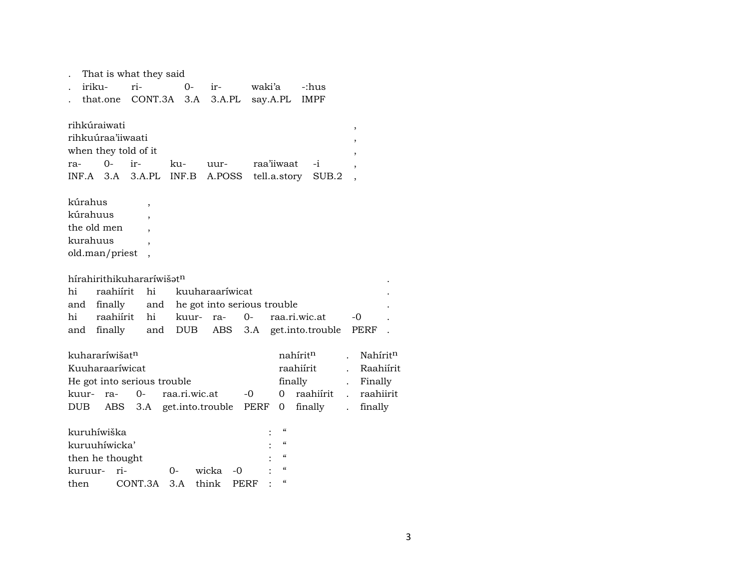|                      |             | That is what they said                |      |                          |                                 |       |        |                 |        |                                        |                      |                      |          |  |
|----------------------|-------------|---------------------------------------|------|--------------------------|---------------------------------|-------|--------|-----------------|--------|----------------------------------------|----------------------|----------------------|----------|--|
| $\ddot{\phantom{0}}$ | iriku-      |                                       | ri-  |                          |                                 | $0-$  | $ir-$  |                 | waki'a |                                        | -:hus                |                      |          |  |
|                      |             |                                       |      |                          | that.one CONT.3A 3.A            |       |        | 3.A.PL say.A.PL |        |                                        | <b>IMPF</b>          |                      |          |  |
|                      |             | rihkúraiwati                          |      |                          |                                 |       |        |                 |        |                                        |                      |                      |          |  |
|                      |             | rihkuúraa'iiwaati                     |      |                          |                                 |       |        |                 |        |                                        |                      | $\,$                 |          |  |
|                      |             | when they told of it                  |      |                          |                                 |       |        |                 |        |                                        |                      | $\,$                 |          |  |
| ra-                  |             | $0-$                                  | ir-  |                          | ku-                             |       | uur-   |                 |        | raa'iiwaat                             | $-i$                 |                      |          |  |
|                      | $INF.A$ 3.A |                                       |      |                          | 3.A.PL INF.B                    |       | A.POSS |                 |        | tell.a.story                           | SUB.2                |                      |          |  |
|                      | kúrahus     |                                       |      | $\overline{\phantom{a}}$ |                                 |       |        |                 |        |                                        |                      |                      |          |  |
|                      | kúrahuus    |                                       |      |                          |                                 |       |        |                 |        |                                        |                      |                      |          |  |
|                      |             | the old men                           |      |                          |                                 |       |        |                 |        |                                        |                      |                      |          |  |
|                      | kurahuus    |                                       |      |                          |                                 |       |        |                 |        |                                        |                      |                      |          |  |
|                      |             | old.man/priest                        |      |                          |                                 |       |        |                 |        |                                        |                      |                      |          |  |
|                      |             |                                       |      |                          |                                 |       |        |                 |        |                                        |                      |                      |          |  |
|                      |             | hírahirithikuhararíwišət <sup>n</sup> |      |                          |                                 |       |        |                 |        |                                        |                      |                      |          |  |
| hi                   |             | raahiírit                             |      | hi                       | kuuharaaríwicat                 |       |        |                 |        |                                        |                      |                      |          |  |
| and                  |             | finally                               |      |                          | and he got into serious trouble |       |        |                 |        |                                        |                      |                      |          |  |
| hi                   |             | raahiírit                             |      | hi                       |                                 | kuur- | ra-    | 0-              |        |                                        | raa.ri.wic.at        | -0                   |          |  |
|                      |             | and finally                           |      |                          | and DUB                         |       | ABS    |                 |        |                                        | 3.A get.into.trouble | PERF                 |          |  |
|                      |             |                                       |      |                          |                                 |       |        |                 |        |                                        |                      |                      |          |  |
|                      |             | kuhararíwišat <sup>n</sup>            |      |                          |                                 |       |        |                 |        |                                        | nahírit <sup>n</sup> |                      | Nahírit  |  |
|                      |             | Kuuharaaríwicat                       |      |                          |                                 |       |        |                 |        |                                        | raahiirit            |                      | Raahiír  |  |
|                      |             |                                       |      |                          | He got into serious trouble     |       |        |                 |        |                                        | finally              |                      | Finally  |  |
|                      | kuur-       | ra-                                   | $0-$ |                          | raa.ri.wic.at                   |       |        | -0              |        | 0                                      | raahiírit            | $\mathbf{r}$         | raahiiri |  |
| <b>DUB</b>           |             |                                       |      |                          | ABS 3.A get.into.trouble PERF   |       |        |                 |        | 0                                      | finally              | $\ddot{\phantom{a}}$ | finally  |  |
|                      |             |                                       |      |                          |                                 |       |        |                 |        |                                        |                      |                      |          |  |
|                      |             | kuruhíwiška                           |      |                          |                                 |       |        |                 |        | $\epsilon$                             |                      |                      |          |  |
|                      |             | kuruuhíwicka'                         |      |                          |                                 |       |        |                 |        | $\alpha$                               |                      |                      |          |  |
|                      |             | then he thought                       |      |                          |                                 |       |        |                 |        | $\epsilon$                             |                      |                      |          |  |
|                      | kuruur-     | ri-                                   |      |                          | 0-                              |       | wicka  | -0              |        | $\boldsymbol{\zeta}\boldsymbol{\zeta}$ |                      |                      |          |  |
| then                 |             |                                       |      | CONT.3A                  | 3.A                             |       | think  | PERF            |        | $\epsilon\epsilon$                     |                      |                      |          |  |

 $\mathit{N}$ ahírit $^{\rm n}$ Raahiírit Finally

raahiirit<br>finally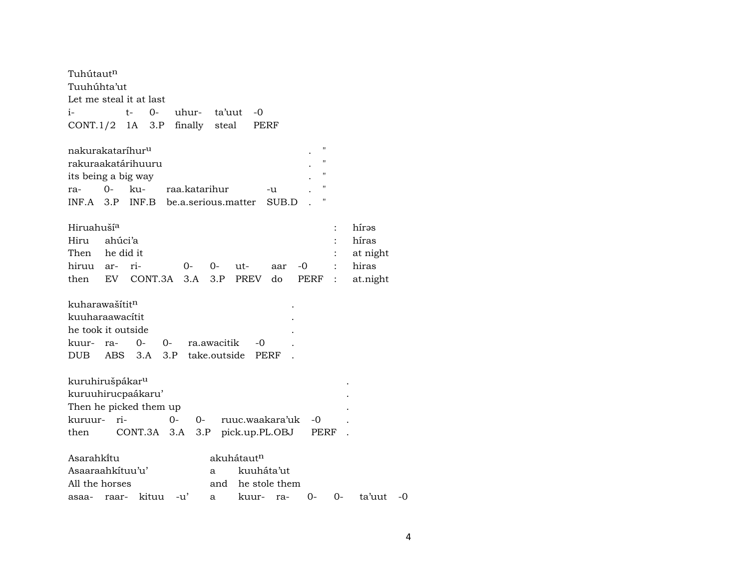| Tuhútaut <sup>n</sup>                                                             |
|-----------------------------------------------------------------------------------|
| Tuuhúhta'ut                                                                       |
| Let me steal it at last                                                           |
| $O -$<br>uhur-<br>ta'uut<br>$-0$<br>i-<br>t-                                      |
| finally steal<br>$CONT.1/2$ 1A 3.P<br>PERF                                        |
| 11<br>nakurakataríhur <sup>u</sup>                                                |
| rakuraakatárihuuru<br>$^{\prime}$                                                 |
| its being a big way                                                               |
| Ħ<br>$O-$<br>raa.katarihur<br>ku-<br>ra-<br>-u                                    |
| $^{\prime}$<br>INF.A 3.P INF.B be.a.serious.matter<br>SUB.D                       |
| Hiruahuší <sup>a</sup><br>hírəs                                                   |
| híras<br>Hiru<br>ahúci'a                                                          |
| Then he did it<br>at night                                                        |
| hiruu ar-<br>ri-<br>-0<br>hiras<br>0-<br>0-<br>ut-<br>aar                         |
| 3.A<br>EV CONT.3A<br>3.P<br>PREV<br>do<br>then<br>PERF<br>at.night<br>$\vdots$    |
| kuharawašítit <sup>n</sup>                                                        |
| kuuharaawacítit                                                                   |
| he took it outside                                                                |
| 0-<br>0-<br>ra.awacitik<br>$-0$<br>kuur-<br>ra-                                   |
| 3.P take.outside<br>DUB<br>ABS<br>3.A<br>PERF                                     |
|                                                                                   |
| kuruhirušpákar <sup>u</sup>                                                       |
| kuruuhirucpaákaru'                                                                |
| Then he picked them up                                                            |
| kuruur- ri-<br>$0-$<br>ruuc.waakara'uk<br>0-<br>-0                                |
| CONT.3A 3.A<br>3.P<br>pick.up.PL.OBJ<br>PERF<br>then                              |
|                                                                                   |
| Asarahkitu<br>akuhátaut <sup>n</sup>                                              |
| Asaaraahkituu'u'<br>kuuháta'ut<br>a                                               |
| All the horses<br>he stole them<br>and                                            |
| ta'uut<br>kituu<br>$-u'$<br>0-<br>kuur-<br>0-<br>-0<br>raar-<br>asaa-<br>a<br>ra- |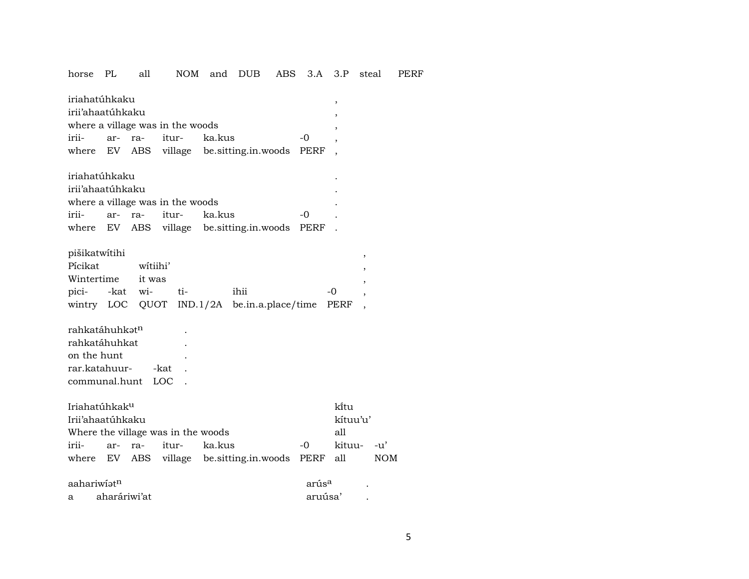horse PL all NOM and DUB ABS 3.A 3.P steal PERF

| iriahatúhkaku    |                                  |  |                            |                                               |    |  |  |  |  |  |  |
|------------------|----------------------------------|--|----------------------------|-----------------------------------------------|----|--|--|--|--|--|--|
| irii'ahaatúhkaku |                                  |  |                            |                                               |    |  |  |  |  |  |  |
|                  | where a village was in the woods |  |                            |                                               |    |  |  |  |  |  |  |
|                  |                                  |  | irii- ar- ra- itur- ka.kus |                                               | -0 |  |  |  |  |  |  |
|                  |                                  |  |                            | where EV ABS village besitting.in.woods PERF, |    |  |  |  |  |  |  |

| iriahatúhkaku                    |  |  |                            |                                               |                |  |  |  |  |  |
|----------------------------------|--|--|----------------------------|-----------------------------------------------|----------------|--|--|--|--|--|
| irii'ahaatúhkaku                 |  |  |                            |                                               |                |  |  |  |  |  |
| where a village was in the woods |  |  |                            |                                               |                |  |  |  |  |  |
|                                  |  |  | irii- ar- ra- itur- ka.kus |                                               | $\overline{a}$ |  |  |  |  |  |
|                                  |  |  |                            | where EV ABS village besitting.in.woods PERF. |                |  |  |  |  |  |

## pišikatwítihi ,

|                   | Picikat witiihi'   |                                                   |      |  |
|-------------------|--------------------|---------------------------------------------------|------|--|
| Wintertime it was |                    |                                                   |      |  |
|                   | pici- -kat wi- ti- | ihii                                              | $-0$ |  |
|                   |                    | wintry LOC QUOT IND.1/2A be.in.a.place/time PERF, |      |  |

| rahkatáhuhkat <sup>n</sup> | $\bullet$ |  |  |
|----------------------------|-----------|--|--|
| rahkatáhuhkat              | ٠         |  |  |
| on the hunt                | ٠         |  |  |
| rar.katahuur- -kat         |           |  |  |
| communal.hunt LOC          |           |  |  |

| Iriahatúhkak <sup>u</sup>          |  |  |  |                            |  |                                                                                             |  |  |  |  |
|------------------------------------|--|--|--|----------------------------|--|---------------------------------------------------------------------------------------------|--|--|--|--|
| Irii'ahaatúhkaku                   |  |  |  |                            |  |                                                                                             |  |  |  |  |
| Where the village was in the woods |  |  |  |                            |  |                                                                                             |  |  |  |  |
|                                    |  |  |  | $-0$                       |  |                                                                                             |  |  |  |  |
|                                    |  |  |  |                            |  | NOM                                                                                         |  |  |  |  |
|                                    |  |  |  | irii- ar- ra- itur- ka.kus |  | ki̇̃tu<br>kítuu'u'<br>all<br>kituu- -u'<br>where EV ABS village besitting.in.woods PERF all |  |  |  |  |

|   | aahariwiat <sup>n</sup> | arús <sup>a</sup> |  |  |  |  |  |
|---|-------------------------|-------------------|--|--|--|--|--|
| a | aharáriwi'at            | aruúsa'           |  |  |  |  |  |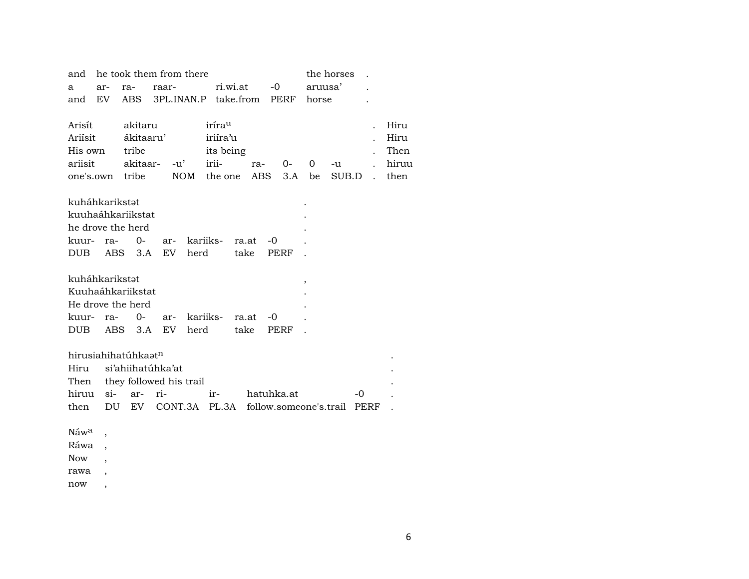| and              |     |                                 | he took them from there      |                               | the horses |            |              |                                                 |                      |       |
|------------------|-----|---------------------------------|------------------------------|-------------------------------|------------|------------|--------------|-------------------------------------------------|----------------------|-------|
| а                | ar- | ra-                             | raar-                        | ri.wi.at                      |            | $-0$       | aruusa'      |                                                 |                      |       |
| and              | EV  |                                 |                              | ABS 3PL.INAN.P take.from PERF |            |            | horse        |                                                 |                      |       |
|                  |     |                                 |                              |                               |            |            |              |                                                 |                      |       |
| Arisít           |     | akitaru                         |                              | irírau                        |            |            |              |                                                 | $\ddot{\phantom{0}}$ | Hiru  |
| Ariísit          |     | ákitaaru'                       |                              | iriíra'u                      |            |            |              |                                                 |                      | Hiru  |
| His own          |     | tribe                           |                              | its being                     |            |            |              |                                                 |                      | Then  |
| ariisit          |     |                                 | akitaar- -u'                 | irii-                         |            | ra- 0-     | $\mathbf{O}$ | -u                                              | $\ddot{\phantom{0}}$ | hiruu |
|                  |     | one's.own tribe                 |                              | NOM the one                   |            | ABS 3.A be |              | SUB.D                                           | $\mathbf{L}$         | then  |
| kuháhkarikstət   |     |                                 |                              |                               |            |            |              |                                                 |                      |       |
|                  |     | kuuhaáhkariikstat               |                              |                               |            |            |              |                                                 |                      |       |
|                  |     | he drove the herd               |                              |                               |            |            |              |                                                 |                      |       |
| kuur- ra-        |     | $0-$                            |                              | ar- kariiks- ra.at            |            | -0         |              |                                                 |                      |       |
| DUB              |     |                                 |                              | ABS 3.A EV herd take          |            | PERF       |              |                                                 |                      |       |
|                  |     |                                 |                              |                               |            |            |              |                                                 |                      |       |
| kuháhkarikstət   |     |                                 |                              |                               |            |            | ,            |                                                 |                      |       |
|                  |     | Kuuhaáhkariikstat               |                              |                               |            |            |              |                                                 |                      |       |
|                  |     | He drove the herd               |                              |                               |            |            |              |                                                 |                      |       |
| kuur- ra-        |     | $0-$                            |                              | ar- kariiks- ra.at            |            | -0         |              |                                                 |                      |       |
| DUB              |     |                                 | ABS 3.A EV herd              | take                          |            | PERF       |              |                                                 |                      |       |
|                  |     |                                 |                              |                               |            |            |              |                                                 |                      |       |
|                  |     | hirusiahihatúhkaət <sup>n</sup> |                              |                               |            |            |              |                                                 |                      |       |
|                  |     |                                 | Hiru si'ahiihatúhka'at       |                               |            |            |              |                                                 |                      |       |
|                  |     |                                 | Then they followed his trail |                               |            |            |              |                                                 |                      |       |
| hiruu si-        |     | ar-                             | ri-                          | ir- hatuhka.at                |            |            |              | -0                                              |                      |       |
| then             |     |                                 |                              |                               |            |            |              | DU EV CONT.3A PL.3A follow.someone's.trail PERF |                      |       |
| Náw <sup>a</sup> |     |                                 |                              |                               |            |            |              |                                                 |                      |       |
| Ráwa             |     |                                 |                              |                               |            |            |              |                                                 |                      |       |
| <b>Now</b>       |     |                                 |                              |                               |            |            |              |                                                 |                      |       |
| rawa             |     |                                 |                              |                               |            |            |              |                                                 |                      |       |
|                  |     |                                 |                              |                               |            |            |              |                                                 |                      |       |

now ,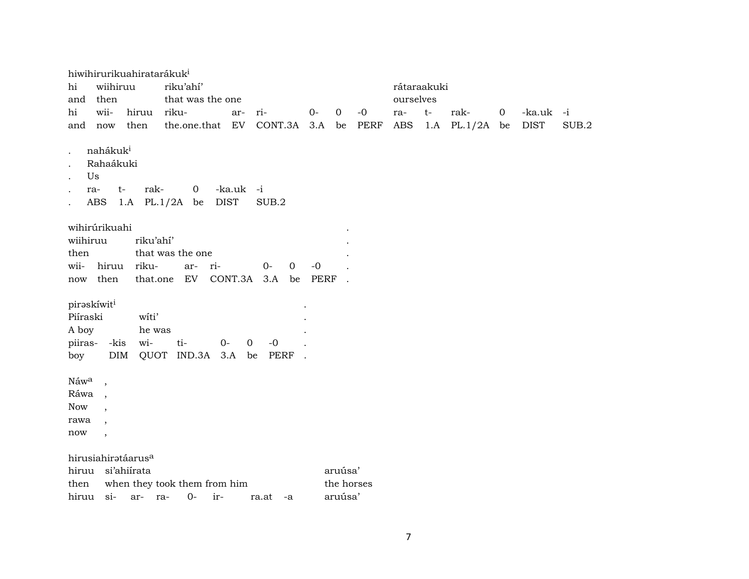|                                                    |                                                       | hiwihirurikuahiratarákuk <sup>i</sup> |                              |                          |                                      |      |                |      |             |      |                |                |             |       |
|----------------------------------------------------|-------------------------------------------------------|---------------------------------------|------------------------------|--------------------------|--------------------------------------|------|----------------|------|-------------|------|----------------|----------------|-------------|-------|
| hi                                                 | wiihiruu                                              |                                       | riku'ahí'                    |                          |                                      |      |                |      | rátaraakuki |      |                |                |             |       |
| and                                                | then                                                  |                                       | that was the one             |                          |                                      |      |                |      | ourselves   |      |                |                |             |       |
| hi                                                 | wii-                                                  | hiruu                                 | riku-                        | ar-                      | ri-                                  | $0-$ | $\overline{0}$ | $-0$ | ra-         | $t-$ | rak-           | $\overline{0}$ | -ka.uk -i   |       |
| and                                                | now                                                   | then                                  | the.one.that EV CONT.3A 3.A  |                          |                                      |      | be             | PERF | ABS         |      | 1.A PL.1/2A be |                | <b>DIST</b> | SUB.2 |
|                                                    | nahákuk <sup>i</sup><br>Rahaákuki<br>Us<br>ra-<br>ABS | rak-<br>t-<br>$1.A$ PL. $1/2A$        | $\mathbf 0$<br>be            | -ka.uk -i<br><b>DIST</b> | SUB.2                                |      |                |      |             |      |                |                |             |       |
|                                                    | wihirúrikuahi                                         |                                       |                              |                          |                                      |      |                |      |             |      |                |                |             |       |
| wiihiruu                                           |                                                       | riku'ahí'                             |                              |                          |                                      |      |                |      |             |      |                |                |             |       |
| then                                               |                                                       |                                       | that was the one             |                          |                                      |      |                |      |             |      |                |                |             |       |
| wii-                                               | hiruu                                                 | riku-                                 | ri-<br>ar-                   |                          | $0-$<br>$\mathbf 0$                  | $-0$ |                |      |             |      |                |                |             |       |
| now                                                | then                                                  |                                       | that.one EV                  |                          | CONT.3A 3.A<br>be                    | PERF |                |      |             |      |                |                |             |       |
| piraskíwiti<br>Piíraski<br>A boy<br>piiras-<br>boy | -kis<br>DIM                                           | witi'<br>he was<br>wi-                | ti-<br>$0-$<br>QUOT IND.3A   | 3.A                      | $\overline{0}$<br>$-0$<br>PERF<br>be |      |                |      |             |      |                |                |             |       |
| Náwa                                               |                                                       |                                       |                              |                          |                                      |      |                |      |             |      |                |                |             |       |
| Ráwa                                               | $\overline{\phantom{a}}$                              |                                       |                              |                          |                                      |      |                |      |             |      |                |                |             |       |
| <b>Now</b>                                         |                                                       |                                       |                              |                          |                                      |      |                |      |             |      |                |                |             |       |
| rawa                                               |                                                       |                                       |                              |                          |                                      |      |                |      |             |      |                |                |             |       |
| $\operatorname{now}$                               | $\overline{\phantom{a}}$                              |                                       |                              |                          |                                      |      |                |      |             |      |                |                |             |       |
|                                                    |                                                       | hirusiahiratáarus <sup>a</sup>        |                              |                          |                                      |      |                |      |             |      |                |                |             |       |
| hiruu                                              |                                                       | si'ahiirata                           |                              |                          |                                      |      | aruúsa'        |      |             |      |                |                |             |       |
| then                                               |                                                       |                                       | when they took them from him |                          |                                      |      | the horses     |      |             |      |                |                |             |       |
| hiruu                                              | si-                                                   | ar- ra-                               | $0-$<br>ir-                  |                          | ra.at<br>-a                          |      | aruúsa'        |      |             |      |                |                |             |       |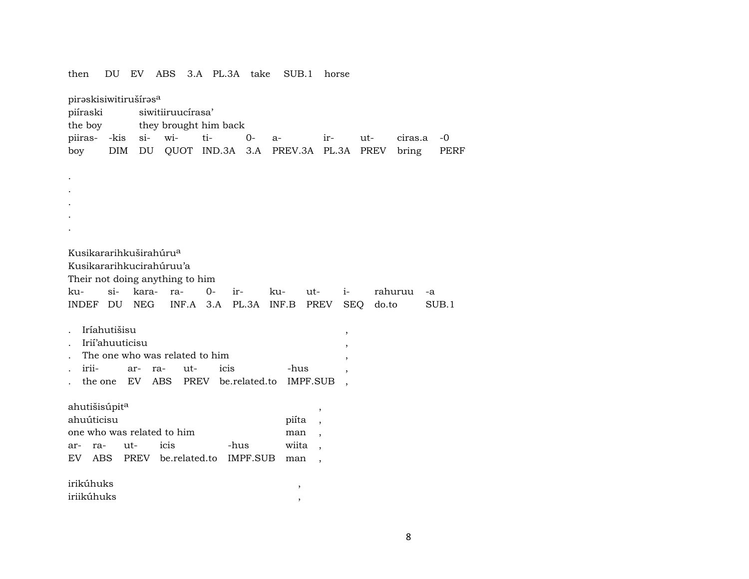| DU EV<br>ABS<br>3.A PL.3A take<br>then<br>SUB.1<br>horse                                                                                                                                                                                                                                                                                     |  |  |  |  |  |  |  |  |
|----------------------------------------------------------------------------------------------------------------------------------------------------------------------------------------------------------------------------------------------------------------------------------------------------------------------------------------------|--|--|--|--|--|--|--|--|
| piraskisiwitirušíras <sup>a</sup><br>piíraski<br>siwitiiruucírasa'                                                                                                                                                                                                                                                                           |  |  |  |  |  |  |  |  |
| the boy<br>they brought him back                                                                                                                                                                                                                                                                                                             |  |  |  |  |  |  |  |  |
| piiras-<br>-kis<br>wi-<br>$si$ -<br>ti-<br>0-<br>ir-<br>ut-<br>ciras.a<br>-0<br>$a-$                                                                                                                                                                                                                                                         |  |  |  |  |  |  |  |  |
| QUOT IND.3A 3.A<br>boy<br><b>DIM</b><br>DU<br>PREV.3A PL.3A<br>PREV<br>bring<br>PERF                                                                                                                                                                                                                                                         |  |  |  |  |  |  |  |  |
|                                                                                                                                                                                                                                                                                                                                              |  |  |  |  |  |  |  |  |
|                                                                                                                                                                                                                                                                                                                                              |  |  |  |  |  |  |  |  |
|                                                                                                                                                                                                                                                                                                                                              |  |  |  |  |  |  |  |  |
|                                                                                                                                                                                                                                                                                                                                              |  |  |  |  |  |  |  |  |
|                                                                                                                                                                                                                                                                                                                                              |  |  |  |  |  |  |  |  |
|                                                                                                                                                                                                                                                                                                                                              |  |  |  |  |  |  |  |  |
| Kusikararihkuširahúru <sup>a</sup><br>Kusikararihkucirahúruu'a<br>Their not doing anything to him<br>$si$ -<br>kara-<br>$0-$<br>ku-<br>ra-<br>ku-<br>$i-$<br>ir-<br>ut-<br>rahuruu<br>-a<br>NEG<br>$INF.A$ 3.A<br>PL.3A<br>INDEF DU<br>INF.B<br>PREV<br><b>SEQ</b><br>SUB.1<br>do.to<br>Iríahutišisu<br>$\, ,$<br>Irii'ahuuticisu<br>$\cdot$ |  |  |  |  |  |  |  |  |
| The one who was related to him<br>$\cdot$                                                                                                                                                                                                                                                                                                    |  |  |  |  |  |  |  |  |
| irii-<br>icis<br>-hus<br>ut-<br>ar-<br>ra-                                                                                                                                                                                                                                                                                                   |  |  |  |  |  |  |  |  |
| <b>IMPF.SUB</b><br>the one<br>EV<br>ABS<br>PREV be.related.to                                                                                                                                                                                                                                                                                |  |  |  |  |  |  |  |  |
| ahutišisúpit <sup>a</sup><br>,<br>ahuúticisu<br>piíta<br>one who was related to him<br>man<br>icis<br>-hus<br>wiita<br>ut-<br>ra-<br>ar-                                                                                                                                                                                                     |  |  |  |  |  |  |  |  |
| <b>ABS</b><br>PREV<br>be.related.to<br>IMPF.SUB<br>EV<br>man                                                                                                                                                                                                                                                                                 |  |  |  |  |  |  |  |  |
| irikúhuks                                                                                                                                                                                                                                                                                                                                    |  |  |  |  |  |  |  |  |
| $\,$<br>iriikúhuks                                                                                                                                                                                                                                                                                                                           |  |  |  |  |  |  |  |  |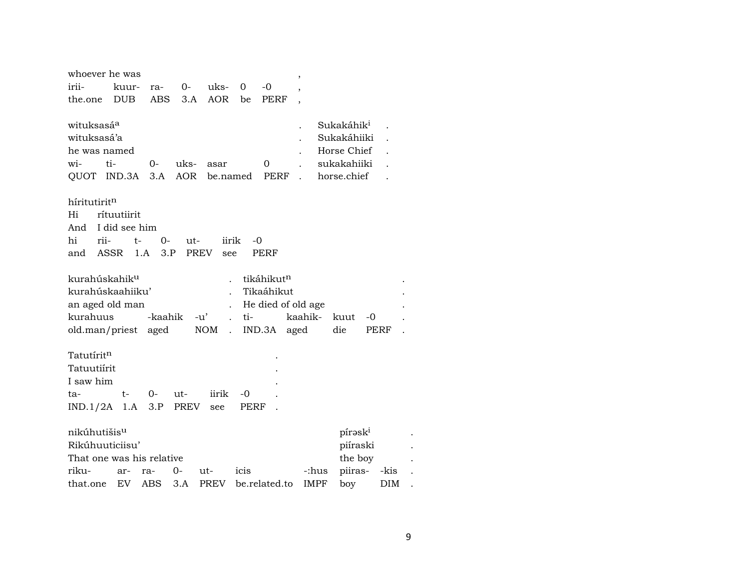| whoever he was            |               |         |      |                                    |      |                        | $\overline{\phantom{a}}$ |                        |            |  |
|---------------------------|---------------|---------|------|------------------------------------|------|------------------------|--------------------------|------------------------|------------|--|
| irii-                     | kuur-         | ra-     | $0-$ | uks-                               | 0    | $-0$                   | $\overline{\phantom{a}}$ |                        |            |  |
| the.one                   | <b>DUB</b>    | ABS     | 3.A  | AOR                                | be   | <b>PERF</b>            |                          |                        |            |  |
|                           |               |         |      |                                    |      |                        |                          |                        |            |  |
| wituksasá <sup>a</sup>    |               |         |      |                                    |      |                        |                          | Sukakáhik <sup>i</sup> |            |  |
| wituksasá'a               |               |         |      |                                    |      |                        |                          | Sukakáhiiki            |            |  |
| he was named              |               |         |      |                                    |      |                        |                          | Horse Chief            |            |  |
| ti-<br>wi-                |               | 0-      | uks- | asar                               |      | 0                      |                          | sukakahiiki            |            |  |
| QUOT IND.3A               |               | 3.A     | AOR  |                                    |      | be.named PERF          |                          | horse.chief            |            |  |
|                           |               |         |      |                                    |      |                        |                          |                        |            |  |
| híritutiritn              |               |         |      |                                    |      |                        |                          |                        |            |  |
|                           |               |         |      |                                    |      |                        |                          |                        |            |  |
| Hi                        | rítuutiirit   |         |      |                                    |      |                        |                          |                        |            |  |
| And                       | I did see him |         |      |                                    |      |                        |                          |                        |            |  |
| rii-<br>hi                | t-            | $0-$    | ut-  | iirik                              | -0   |                        |                          |                        |            |  |
| ASSR<br>and               | 1.A           | 3.P     |      | PREV<br>see                        |      | PERF                   |                          |                        |            |  |
|                           |               |         |      |                                    |      |                        |                          |                        |            |  |
| kurahúskahik <sup>u</sup> |               |         |      |                                    |      | tikáhikut <sup>n</sup> |                          |                        |            |  |
| kurahúskaahiiku'          |               |         |      |                                    |      | Tikaáhikut             |                          |                        |            |  |
| an aged old man           |               |         |      |                                    |      | He died of old age     |                          |                        |            |  |
| kurahuus                  |               | -kaahik |      | $-u'$                              | ti-  |                        | kaahik-                  | kuut<br>-0             |            |  |
| old.man/priest aged       |               |         |      | <b>NOM</b><br>$\ddot{\phantom{a}}$ |      | IND.3A                 | aged                     | die                    | PERF       |  |
|                           |               |         |      |                                    |      |                        |                          |                        |            |  |
| Tatutíritn                |               |         |      |                                    |      |                        |                          |                        |            |  |
| Tatuutiirit               |               |         |      |                                    |      |                        |                          |                        |            |  |
| I saw him                 |               |         |      |                                    |      |                        |                          |                        |            |  |
|                           |               |         |      |                                    |      |                        |                          |                        |            |  |
| ta-                       | $t-$          | $0-$    | ut-  | iirik                              | -0   |                        |                          |                        |            |  |
| $IND.1/2A$ 1.A            |               | 3.P     | PREV | see                                | PERF |                        |                          |                        |            |  |
|                           |               |         |      |                                    |      |                        |                          |                        |            |  |
| nikúhutišis <sup>u</sup>  |               |         |      |                                    |      |                        |                          | pírask <sup>i</sup>    |            |  |
| Rikúhuuticiisu'           |               |         |      |                                    |      |                        |                          | piíraski               |            |  |
| That one was his relative |               |         |      |                                    |      |                        |                          | the boy                |            |  |
| riku-                     | ar-           | ra-     | $0-$ | ut-                                | icis |                        | -:hus                    | piiras-                | -kis       |  |
| that.one                  | EV            | ABS     | 3.A  | PREV                               |      | be.related.to          | <b>IMPF</b>              | boy                    | <b>DIM</b> |  |
|                           |               |         |      |                                    |      |                        |                          |                        |            |  |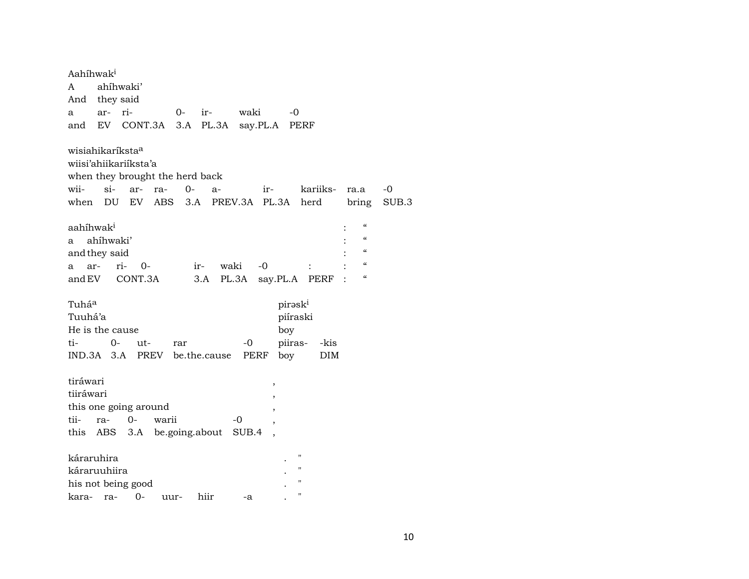| Aahíhwak <sup>i</sup><br>ahíhwaki'<br>A<br>And they said<br>waki<br>ar- ri-<br>$0-$<br>ir-<br>$-0$<br>a<br>EV CONT.3A<br>3.A<br>PL.3A<br>say.PL.A PERF<br>and                                                                                                                                                                                  |
|------------------------------------------------------------------------------------------------------------------------------------------------------------------------------------------------------------------------------------------------------------------------------------------------------------------------------------------------|
| wisiahikaríksta <sup>a</sup><br>wiisi'ahiikariiksta'a<br>when they brought the herd back<br>$si-$<br>wii-<br>ar-<br>ir- kariiks-<br>ra-<br>0-<br>-0<br>$a-$<br>ra.a<br>when DU EV ABS<br>3.A PREV.3A PL.3A herd<br>bring<br>SUB.3                                                                                                              |
| $\mathcal{C}$<br>aahíhwak <sup>i</sup><br>$\boldsymbol{\zeta}\boldsymbol{\zeta}$<br>ahíhwaki'<br>a<br>$\boldsymbol{\zeta}\boldsymbol{\zeta}$<br>and they said<br>$\boldsymbol{\zeta}\boldsymbol{\zeta}$<br>waki<br>$ri-$ 0-<br>-0<br>ar-<br>ir-<br>a<br>$\boldsymbol{\zeta}\boldsymbol{\zeta}$<br>and EV CONT.3A<br>3.A PL.3A<br>say.PL.A PERF |
| Tuhá <sup>a</sup><br>piraski<br>Tuuhá'a<br>piíraski<br>He is the cause<br>boy<br>piiras- - kis<br>ti-<br>$0-$<br>$-0$<br>ut-<br>rar<br>IND.3A 3.A PREV be.the.cause<br>PERF<br>boy<br>DIM                                                                                                                                                      |
| tiráwari<br>,<br>tiiráwari<br>this one going around<br>tii- ra- 0-<br>warii<br>-0<br>this ABS 3.A be.going.about<br>SUB.4                                                                                                                                                                                                                      |
| $^{\prime}$<br>káraruhira<br>$^{\prime}$<br>káraruuhiira<br>$^{\prime}$<br>his not being good<br>$\blacksquare$<br>0-<br>hiir<br>kara-<br>ra-<br>uur-<br>-a                                                                                                                                                                                    |